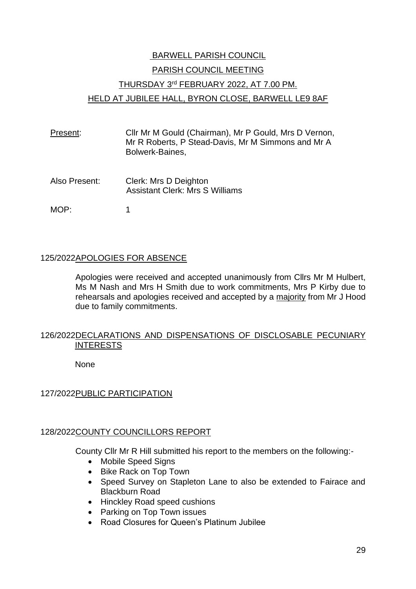# BARWELL PARISH COUNCIL PARISH COUNCIL MEETING THURSDAY 3rd FEBRUARY 2022, AT 7.00 PM. HELD AT JUBILEE HALL, BYRON CLOSE, BARWELL LE9 8AF

- Present: Cllr Mr M Gould (Chairman), Mr P Gould, Mrs D Vernon, Mr R Roberts, P Stead-Davis, Mr M Simmons and Mr A Bolwerk-Baines,
- Also Present: Clerk: Mrs D Deighton Assistant Clerk: Mrs S Williams
- MOP: 1

# 125/2022APOLOGIES FOR ABSENCE

Apologies were received and accepted unanimously from Cllrs Mr M Hulbert, Ms M Nash and Mrs H Smith due to work commitments, Mrs P Kirby due to rehearsals and apologies received and accepted by a majority from Mr J Hood due to family commitments.

# 126/2022DECLARATIONS AND DISPENSATIONS OF DISCLOSABLE PECUNIARY INTERESTS

None

# 127/2022PUBLIC PARTICIPATION

# 128/2022COUNTY COUNCILLORS REPORT

County Cllr Mr R Hill submitted his report to the members on the following:-

- Mobile Speed Signs
- Bike Rack on Top Town
- Speed Survey on Stapleton Lane to also be extended to Fairace and Blackburn Road
- Hinckley Road speed cushions
- Parking on Top Town issues
- Road Closures for Queen's Platinum Jubilee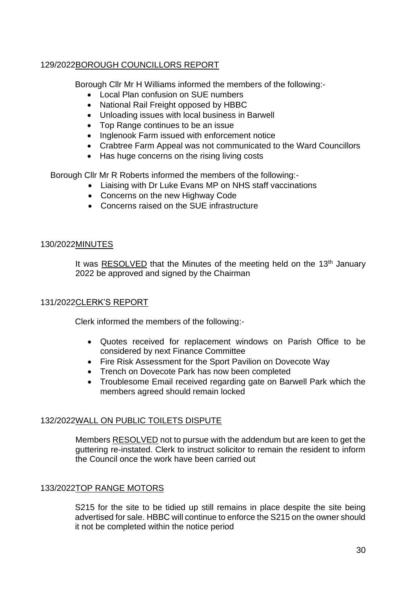# 129/2022BOROUGH COUNCILLORS REPORT

Borough Cllr Mr H Williams informed the members of the following:-

- Local Plan confusion on SUE numbers
- National Rail Freight opposed by HBBC
- Unloading issues with local business in Barwell
- Top Range continues to be an issue
- Inglenook Farm issued with enforcement notice
- Crabtree Farm Appeal was not communicated to the Ward Councillors
- Has huge concerns on the rising living costs

Borough Cllr Mr R Roberts informed the members of the following:-

- Liaising with Dr Luke Evans MP on NHS staff vaccinations
- Concerns on the new Highway Code
- Concerns raised on the SUE infrastructure

# 130/2022MINUTES

It was RESOLVED that the Minutes of the meeting held on the  $13<sup>th</sup>$  January 2022 be approved and signed by the Chairman

# 131/2022CLERK'S REPORT

Clerk informed the members of the following:-

- Quotes received for replacement windows on Parish Office to be considered by next Finance Committee
- Fire Risk Assessment for the Sport Pavilion on Dovecote Way
- Trench on Dovecote Park has now been completed
- Troublesome Email received regarding gate on Barwell Park which the members agreed should remain locked

# 132/2022WALL ON PUBLIC TOILETS DISPUTE

Members RESOLVED not to pursue with the addendum but are keen to get the guttering re-instated. Clerk to instruct solicitor to remain the resident to inform the Council once the work have been carried out

# 133/2022TOP RANGE MOTORS

S215 for the site to be tidied up still remains in place despite the site being advertised for sale. HBBC will continue to enforce the S215 on the owner should it not be completed within the notice period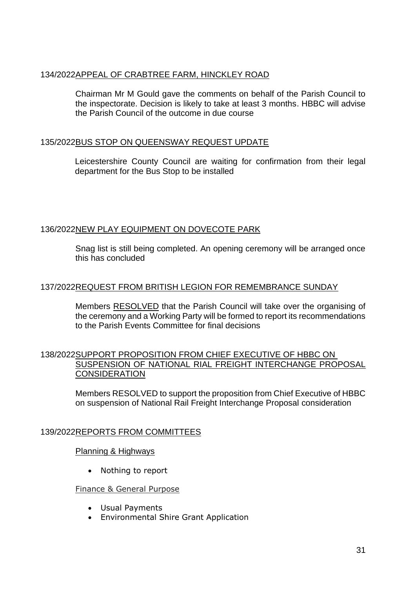#### 134/2022APPEAL OF CRABTREE FARM, HINCKLEY ROAD

Chairman Mr M Gould gave the comments on behalf of the Parish Council to the inspectorate. Decision is likely to take at least 3 months. HBBC will advise the Parish Council of the outcome in due course

#### 135/2022BUS STOP ON QUEENSWAY REQUEST UPDATE

Leicestershire County Council are waiting for confirmation from their legal department for the Bus Stop to be installed

# 136/2022NEW PLAY EQUIPMENT ON DOVECOTE PARK

Snag list is still being completed. An opening ceremony will be arranged once this has concluded

# 137/2022REQUEST FROM BRITISH LEGION FOR REMEMBRANCE SUNDAY

Members RESOLVED that the Parish Council will take over the organising of the ceremony and a Working Party will be formed to report its recommendations to the Parish Events Committee for final decisions

#### 138/2022SUPPORT PROPOSITION FROM CHIEF EXECUTIVE OF HBBC ON SUSPENSION OF NATIONAL RIAL FREIGHT INTERCHANGE PROPOSAL **CONSIDERATION**

Members RESOLVED to support the proposition from Chief Executive of HBBC on suspension of National Rail Freight Interchange Proposal consideration

# 139/2022REPORTS FROM COMMITTEES

#### Planning & Highways

• Nothing to report

#### Finance & General Purpose

- Usual Payments
- Environmental Shire Grant Application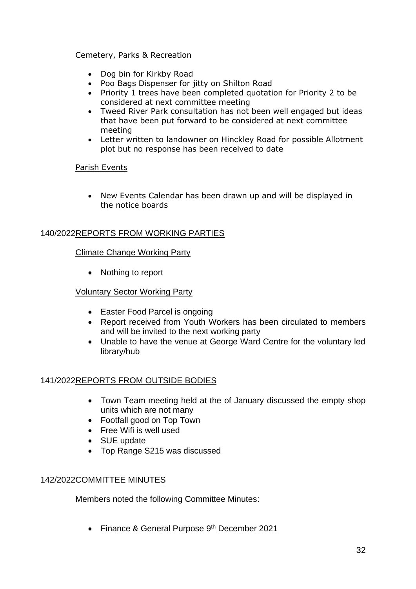#### Cemetery, Parks & Recreation

- Dog bin for Kirkby Road
- Poo Bags Dispenser for jitty on Shilton Road
- Priority 1 trees have been completed quotation for Priority 2 to be considered at next committee meeting
- Tweed River Park consultation has not been well engaged but ideas that have been put forward to be considered at next committee meeting
- Letter written to landowner on Hinckley Road for possible Allotment plot but no response has been received to date

#### Parish Events

• New Events Calendar has been drawn up and will be displayed in the notice boards

# 140/2022REPORTS FROM WORKING PARTIES

#### Climate Change Working Party

• Nothing to report

#### Voluntary Sector Working Party

- Easter Food Parcel is ongoing
- Report received from Youth Workers has been circulated to members and will be invited to the next working party
- Unable to have the venue at George Ward Centre for the voluntary led library/hub

# 141/2022REPORTS FROM OUTSIDE BODIES

- Town Team meeting held at the of January discussed the empty shop units which are not many
- Footfall good on Top Town
- Free Wifi is well used
- SUE update
- Top Range S215 was discussed

#### 142/2022COMMITTEE MINUTES

Members noted the following Committee Minutes:

• Finance & General Purpose 9<sup>th</sup> December 2021